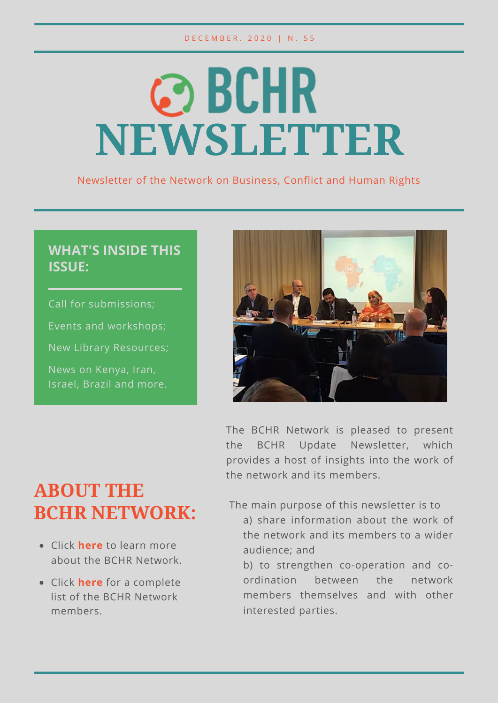# © BCHR **NEWSLETTER**

Newsletter of the Network on Business, Conflict and Human Rights

## **WHAT'S INSIDE THIS ISSUE:**

Call for submissions; Events and workshops; New Library Resources; News on Kenya, Iran, Israel, Brazil and more.



The BCHR Network is pleased to present the BCHR Update Newsletter, which provides a host of insights into the work of the network and its members.

# **ABOUT THE BCHR NETWORK:**

- Click **[here](https://www.networkbchr.org/)** to learn more about the BCHR Network.
- Click **[here](https://f998e6ff-677d-4bc8-acec-99f1a281683a.filesusr.com/ugd/e6086f_51bb4cc961934dda90353e65cc8e44d6.pdf)** [f](https://f998e6ff-677d-4bc8-acec-99f1a281683a.filesusr.com/ugd/e6086f_51bb4cc961934dda90353e65cc8e44d6.pdf)or a complete list of the BCHR Network members.

The main purpose of this newsletter is to

- a) share information about the work of the network and its members to a wider audience; and
- b) to strengthen co-operation and coordination between the network members themselves and with other interested parties.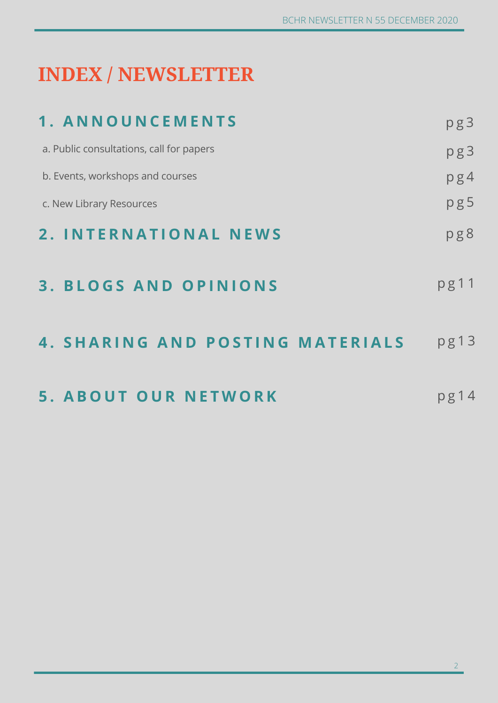# **INDEX / NEWSLETTER**

| 1. ANNOUNCEMENTS                         | pg3  |
|------------------------------------------|------|
| a. Public consultations, call for papers | pg3  |
| b. Events, workshops and courses         | pg4  |
| c. New Library Resources                 | pg5  |
| 2. INTERNATIONAL NEWS                    | pg8  |
| <b>3. BLOGS AND OPINIONS</b>             | pg11 |
| <b>4. SHARING AND POSTING MATERIALS</b>  | pg13 |
| <b>5. ABOUT OUR NETWORK</b>              | pg14 |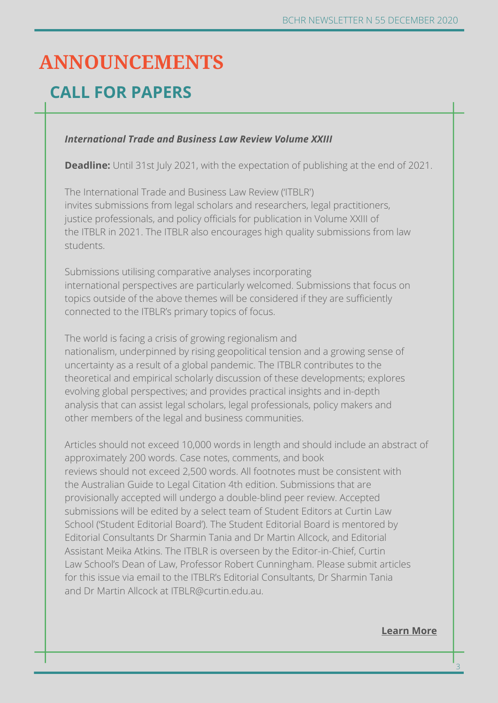# **ANNOUNCEMENTS**

## **CALL FOR PAPERS**

#### *International Trade and Business Law Review Volume XXIII*

**Deadline:** Until 31st July 2021, with the expectation of publishing at the end of 2021.

The International Trade and Business Law Review ('ITBLR') invites submissions from legal scholars and researchers, legal practitioners, justice professionals, and policy officials for publication in Volume XXIII of the ITBLR in 2021. The ITBLR also encourages high quality submissions from law students.

Submissions utilising comparative analyses incorporating international perspectives are particularly welcomed. Submissions that focus on topics outside of the above themes will be considered if they are sufficiently connected to the ITBLR's primary topics of focus.

The world is facing a crisis of growing regionalism and nationalism, underpinned by rising geopolitical tension and a growing sense of uncertainty as a result of a global pandemic. The ITBLR contributes to the theoretical and empirical scholarly discussion of these developments; explores evolving global perspectives; and provides practical insights and in-depth analysis that can assist legal scholars, legal professionals, policy makers and other members of the legal and business communities.

Articles should not exceed 10,000 words in length and should include an abstract of approximately 200 words. Case notes, comments, and book reviews should not exceed 2,500 words. All footnotes must be consistent with the Australian Guide to Legal Citation 4th edition. Submissions that are provisionally accepted will undergo a double-blind peer review. Accepted submissions will be edited by a select team of Student Editors at Curtin Law School ('Student Editorial Board'). The Student Editorial Board is mentored by Editorial Consultants Dr Sharmin Tania and Dr Martin Allcock, and Editorial Assistant Meika Atkins. The ITBLR is overseen by the Editor-in-Chief, Curtin Law School's Dean of Law, Professor Robert Cunningham. Please submit articles for this issue via email to the ITBLR's Editorial Consultants, Dr Sharmin Tania and Dr Martin Allcock at ITBLR@curtin.edu.au.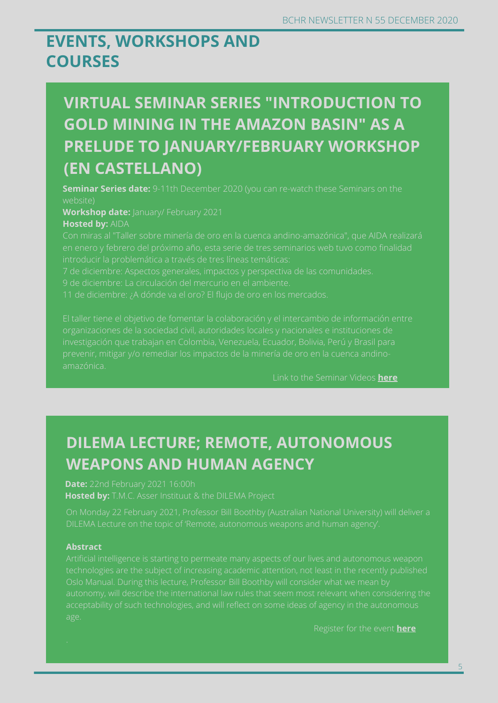## **EVENTS, WORKSHOPS AND COURSES**

## **VIRTUAL SEMINAR SERIES "INTRODUCTION TO GOLD MINING IN THE AMAZON BASIN" AS A PRELUDE TO JANUARY/FEBRUARY WORKSHOP (EN CASTELLANO)**

**Seminar Series date:** 9-11th December 2020 (you can re-watch these Seminars on the website)

**Workshop date:** January/ February 2021

#### **Hosted by:** AIDA

Con miras al "Taller sobre minería de oro en la cuenca andino-amazónica", que AIDA realizará en enero y febrero del próximo año, esta serie de tres seminarios web tuvo como finalidad

7 de diciembre: Aspectos generales, impactos y perspectiva de las comunidades.

#### Link to the Seminar Videos **[here](https://aida-americas.org/es/blog/serie-de-seminarios-virtuales-introduccion-la-mineria-de-oro-en-la-cuenca-andino-amazonica)**

## **DILEMA LECTURE; REMOTE, AUTONOMOUS WEAPONS AND HUMAN AGENCY**

**Date:** 22nd February 2021 16:00h **Hosted by:** T.M.C. Asser Instituut & the DILEMA Project

#### **Abstract**

Register for the event **[here](https://www.asser.academy/register/DILEMA22Feb2021)**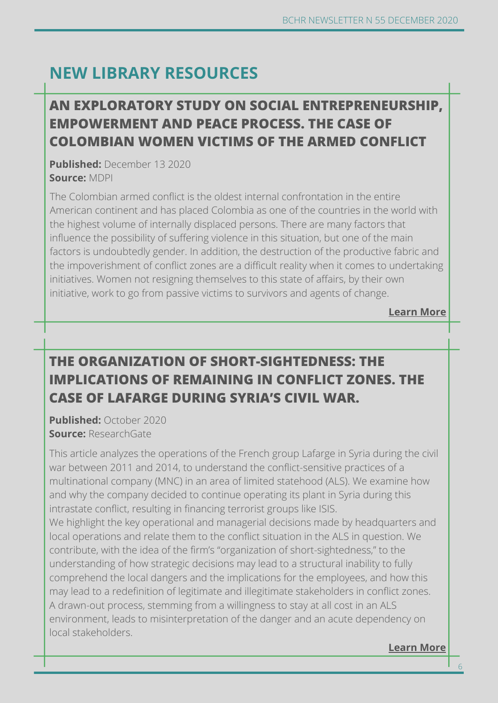## **NEW LIBRARY RESOURCES**

## **Learn more AN EXPLORATORY STUDY ON SOCIAL ENTREP[RENEURS](https://www.cityu.edu.hk/slw/lib/doc/HRLF/20200730_(Roundtable_Series_on_NSL)_NSL_on_BHR.pdf)HIP, EMPOWERMENT AND PEACE PROCESS. THE CASE OF COLOMBIAN WOMEN VICTIMS OF THE ARMED CONFLICT**

**Published:** December 13 2020 **Source:** MDPI

The Colombian armed conflict is the oldest internal confrontation in the entire American continent and has placed Colombia as one of the countries in the world with the highest volume of internally displaced persons. There are many factors that influence the possibility of suffering violence in this situation, but one of the main factors is undoubtedly gender. In addition, the destruction of the productive fabric and the impoverishment of conflict zones are a difficult reality when it comes to undertaking initiatives. Women not resigning themselves to this state of affairs, by their own initiative, work to go from passive victims to survivors and agents of change.

**[Learn More](https://www.mdpi.com/2071-1050/12/24/10425/pdf)**

## **THE ORGANIZATION OF SHORT-SIGHTEDNESS: THE IMPLICATIONS OF REMAINING IN CONFLICT ZONES. THE CASE OF LAFARGE DURING SYRIA'S CIVIL WAR.**

**Published:** October 2020 **Source:** ResearchGate

This article analyzes the operations of the French group Lafarge in Syria during the civil war between 2011 and 2014, to understand the conflict-sensitive practices of a multinational company (MNC) in an area of limited statehood (ALS). We examine how and why the company decided to continue operating its plant in Syria during this intrastate conflict, resulting in financing terrorist groups like ISIS. We highlight the key operational and managerial decisions made by headquarters and local operations and relate them to the conflict situation in the ALS in question. We contribute, with the idea of the firm's "organization of short-sightedness," to the understanding of how strategic decisions may lead to a structural inability to fully comprehend the local dangers and the implications for the employees, and how this may lead to a redefinition of legitimate and illegitimate stakeholders in conflict zones. A drawn-out process, stemming from a willingness to stay at all cost in an ALS environment, leads to misinterpretation of the danger and an acute dependency on local stakeholders.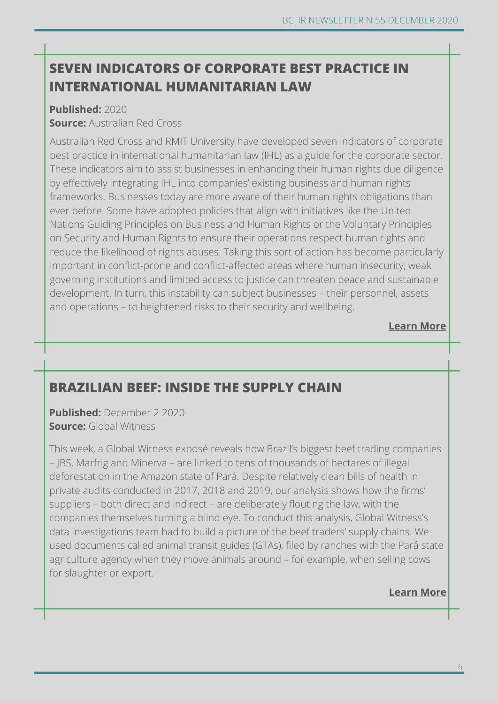## **SEVEN INDICATORS OF CORPORATE BEST PRACTICE IN INTERNATIONAL HUMANITARIAN LAW**

## **Published:** 2020

#### **Source:** Australian Red Cross

Australian Red Cross and RMIT University have developed seven indicators of corporate best practice in international humanitarian law (IHL) as a guide for the corporate sector. These indicators aim to assist businesses in enhancing their human rights due diligence by effectively integrating IHL into companies' existing business and human rights frameworks. Businesses today are more aware of their human rights obligations than ever before. Some have adopted policies that align with initiatives like the United Nations Guiding Principles on Business and Human Rights or the Voluntary Principles on Security and Human Rights to ensure their operations respect human rights and reduce the likelihood of rights abuses. Taking this sort of action has become particularly important in conflict-prone and conflict-affected areas where human insecurity, weak governing institutions and limited access to justice can threaten peace and sustainable development. In turn, this instability can subject businesses – their personnel, assets and operations – to heightened risks to their security and wellbeing.

### **[Learn More](https://www.redcross.org.au/getmedia/5e9bfe91-6560-4760-85d1-a16a622b61be/Seven-Indicators-of-Corporate-Best-Practice-in-IHL-WEB_2.pdf)**

## **BRAZILIAN BEEF: INSIDE THE SUPPLY CHAIN**

**Published:** December 2 2020 **Source:** Global Witness

This week, a Global Witness exposé reveals how Brazil's biggest beef trading companies – JBS, Marfrig and Minerva – are linked to tens of thousands of hectares of illegal deforestation in the Amazon state of Pará. Despite relatively clean bills of health in private audits conducted in 2017, 2018 and 2019, our analysis shows how the firms' suppliers – both direct and indirect – are deliberately flouting the law, with the companies themselves turning a blind eye. To conduct this analysis, Global Witness's data investigations team had to build a picture of the beef traders' supply chains. We used documents called animal transit guides (GTAs), filed by ranches with the Pará state agriculture agency when they move animals around – for example, when selling cows for slaughter or export.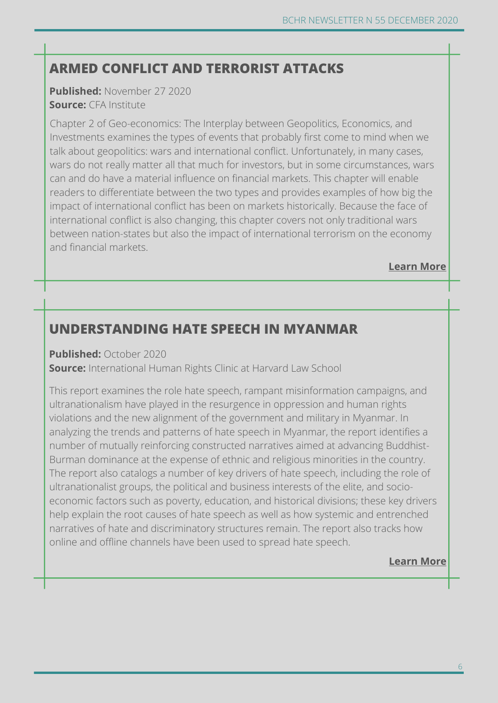## **ARMED CONFLICT AND TERRORIST ATTACKS**

**Published:** November 27 2020 **Source:** CFA Institute

Chapter 2 of Geo-economics: The Interplay between Geopolitics, Economics, and Investments examines the types of events that probably first come to mind when we talk about geopolitics: wars and international conflict. Unfortunately, in many cases, wars do not really matter all that much for investors, but in some circumstances, wars can and do have a material influence on financial markets. This chapter will enable readers to differentiate between the two types and provides examples of how big the impact of international conflict has been on markets historically. Because the face of international conflict is also changing, this chapter covers not only traditional wars between nation-states but also the impact of international terrorism on the economy and financial markets.

#### **[Learn More](https://www.cfainstitute.org/en/research/foundation/2021/geo-economics-ch-2)**

## **UNDERSTANDING HATE SPEECH IN MYANMAR**

**Published:** October 2020

**Source:** International Human Rights Clinic at Harvard Law School

This report examines the role hate speech, rampant misinformation campaigns, and ultranationalism have played in the resurgence in oppression and human rights violations and the new alignment of the government and military in Myanmar. In analyzing the trends and patterns of hate speech in Myanmar, the report identifies a number of mutually reinforcing constructed narratives aimed at advancing Buddhist-Burman dominance at the expense of ethnic and religious minorities in the country. The report also catalogs a number of key drivers of hate speech, including the role of ultranationalist groups, the political and business interests of the elite, and socioeconomic factors such as poverty, education, and historical divisions; these key drivers help explain the root causes of hate speech as well as how systemic and entrenched narratives of hate and discriminatory structures remain. The report also tracks how online and offline channels have been used to spread hate speech.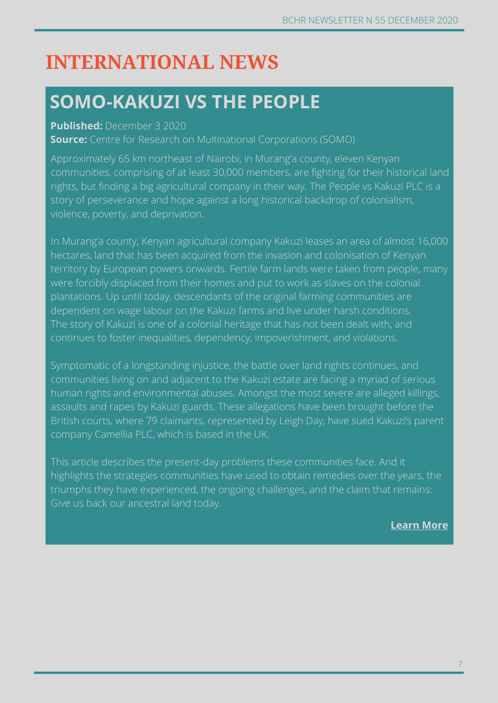# **INTERNATIONAL NEWS**

## **SOMO-KAKUZI VS THE PEOPLE**

#### **Published:** December 3 2020

**Source:** Centre for Research on Multinational Corporations (SOMO)

Approximately 65 km northeast of Nairobi, in Murang'a county, eleven Kenyan communities, comprising of at least 30,000 members, are fighting for their historical land rights, but finding a big agricultural company in their way. The People vs Kakuzi PLC is a story of perseverance and hope against a long historical backdrop of colonialism, violence, poverty, and deprivation.

In Murang'a county, Kenyan agricultural company Kakuzi leases an area of almost 16,000 hectares, land that has been acquired from the invasion and colonisation of Kenyan territory by European powers onwards. Fertile farm lands were taken from people, many were forcibly displaced from their homes and put to work as slaves on the colonial plantations. Up until today, descendants of the original farming communities are dependent on wage labour on the Kakuzi farms and live under harsh conditions. The story of Kakuzi is one of a colonial heritage that has not been dealt with, and continues to foster inequalities, dependency, impoverishment, and violations.

Symptomatic of a longstanding injustice, the battle over land rights continues, and communities living on and adjacent to the Kakuzi estate are facing a myriad of serious human rights and environmental abuses. Amongst the most severe are alleged killings, assaults and rapes by Kakuzi guards. These allegations have been brought before the British courts, where 79 claimants, represented by Leigh Day, have sued Kakuzi's parent company Camellia PLC, which is based in the UK.

This article describes the present-day problems these communities face. And it highlights the strategies communities have used to obtain remedies over the years, the triumphs they have experienced, the ongoing challenges, and the claim that remains: Give us back our ancestral land today.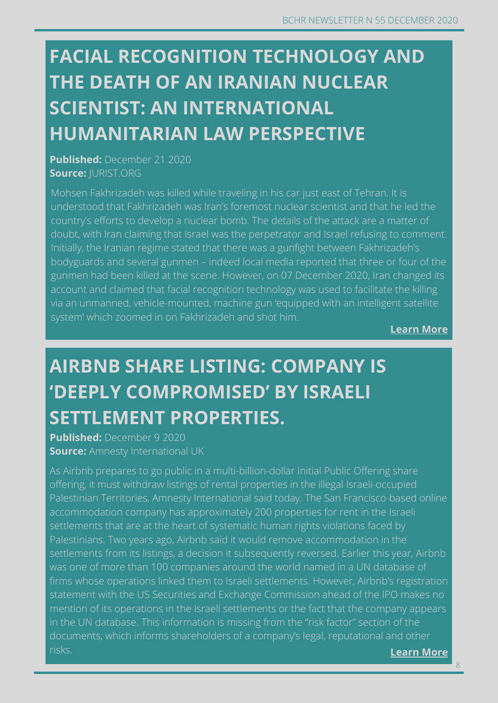# $SCIENTIST: AN INTERNATIONAL$ **HUMANITARIAN LAW PERSPECTIVE FACIAL RECOGNITION TECHNOLOGY AND THE DEATH OF AN IRANIAN NUCLEAR**

**Published:** December 21 2020 **Source:** JURIST.ORG

Mohsen Fakhrizadeh was killed while traveling in his car just east of Tehran. It is understood that Fakhrizadeh was Iran's foremost nuclear scientist and that he led the country's efforts to develop a nuclear bomb. The details of the attack are a matter of doubt, with Iran claiming that Israel was the perpetrator and Israel refusing to comment. Initially, the Iranian regime stated that there was a gunfight between Fakhrizadeh's bodyguards and several gunmen – indeed local media reported that three or four of the gunmen had been killed at the scene. However, on 07 December 2020, Iran changed its account and claimed that facial recognition technology was used to facilitate the killing via an unmanned, vehicle-mounted, machine gun 'equipped with an intelligent satellite system' which zoomed in on Fakhrizadeh and shot him.

**[Learn More](http://jurist.org/commentary/2020/12/elliot-winter-iran-facial-recognition-ihl/)**

**[Learn](https://www.business-humanrights.org/en/southeast-asia-sees-factory-shutdowns-and-massive-lay-offs-due-to-covid-19-outbreak-0) more**

# **AIRBNB SHARE LISTING: COMPANY IS 'DEEPLY COMPROMISED' BY ISRAELI SETTLEMENT PROPERTIES.**

**Published:** December 9 2020 **Source:** Amnesty International UK

As Airbnb prepares to go public in a multi-billion-dollar Initial Public Offering share offering, it must withdraw listings of rental properties in the illegal Israeli-occupied Palestinian Territories, Amnesty International said today. The San Francisco-based online accommodation company has approximately 200 properties for rent in the Israeli settlements that are at the heart of systematic human rights violations faced by Palestinians. Two years ago, Airbnb said it would remove accommodation in the settlements from its listings, a decision it subsequently reversed. Earlier this year, Airbnb was one of more than 100 companies around the world named in a UN database of firms whose operations linked them to Israeli settlements. However, Airbnb's registration statement with the US Securities and Exchange Commission ahead of the IPO makes no mention of its operations in the Israeli settlements or the fact that the company appears in the UN database. This information is missing from the "risk factor" section of the documents, which informs shareholders of a company's legal, reputational and other risks. **[Learn More](https://www.amnesty.org.uk/press-releases/airbnb-share-listing-company-deeply-compromised-israeli-settlement-properties)**

8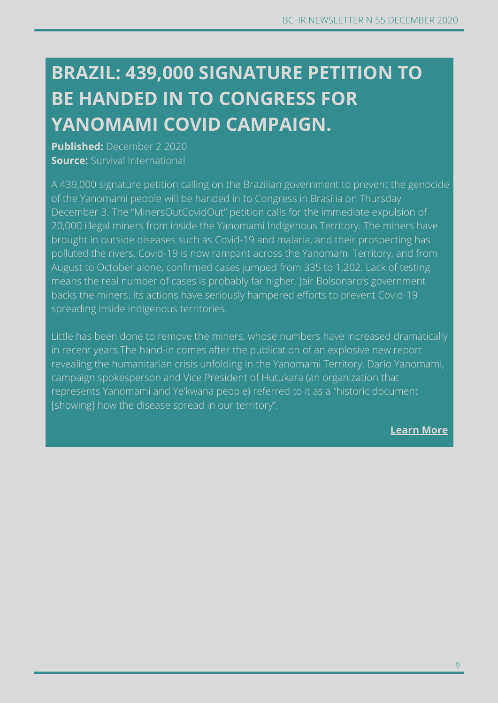# **CAMBODIA: COVID-19 OUTBREAK RAISES SERIOUS BE HANDED IN TO CONGRESS FOR YANOMAMI COVID CAMPAIGN. BRAZIL: 439,000 SIGNATURE PETITION TO**

**Published:** December 2 2020 **Source:** Survival International

A 439,000 signature petition calling on the Brazilian government to prevent the genocide of the Yanomami people will be handed in to Congress in Brasilia on Thursday December 3. The "MinersOutCovidOut" petition calls for the immediate expulsion of 20,000 illegal miners from inside the Yanomami Indigenous Territory. The miners have brought in outside diseases such as Covid-19 and malaria, and their prospecting has polluted the rivers. Covid-19 is now rampant across the Yanomami Territory, and from August to October alone, confirmed cases jumped from 335 to 1,202. Lack of testing means the real number of cases is probably far higher. Jair Bolsonaro's government backs the miners. Its actions have seriously hampered efforts to prevent Covid-19 spreading inside indigenous territories.

Little has been done to remove the miners, whose numbers have increased dramatically in recent years.The hand-in comes after the publication of an explosive new report revealing the humanitarian crisis unfolding in the Yanomami Territory. Dario Yanomami, campaign spokesperson and Vice President of Hutukara (an organization that represents Yanomami and Ye'kwana people) referred to it as a "historic document [showing] how the disease spread in our territory".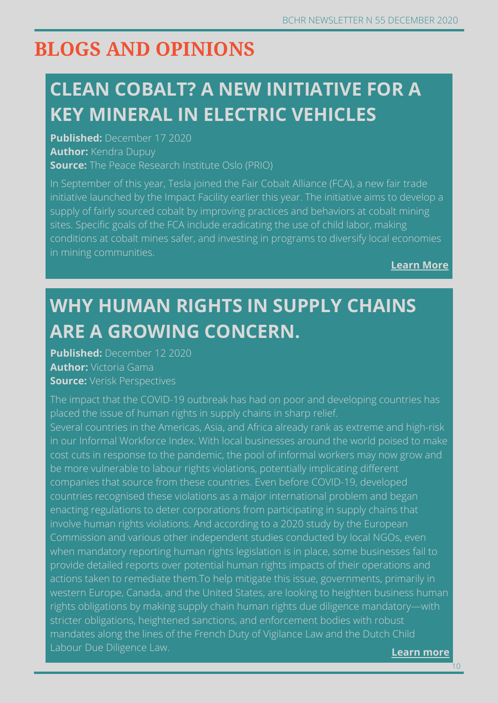# **BLOGS AND OPINIONS**

# **CLEAN COBALT? A NEW INITIATIVE FOR A KEY MINERAL IN ELECTRIC VEHICLES**

**Published:** December 17 2020 **Author:** Kendra Dupuy **Source:** The Peace Research Institute Oslo (PRIO)

In September of this year, Tesla joined the Fair Cobalt Alliance (FCA), a new fair trade initiative launched by the Impact Facility earlier this year. The initiative aims to develop a supply of fairly sourced cobalt by improving practices and behaviors at cobalt mining sites. Specific goals of the FCA include eradicating the use of child labor, making conditions at cobalt mines safer, and investing in programs to diversify local economies in mining communities.

**[Learn More](https://blogs.prio.org/2020/12/clean-cobalt-a-new-initiative-for-a-key-mineral-in-electric-vehicles/)**

# **WHY HUMAN RIGHTS IN SUPPLY CHAINS ARE A GROWING CONCERN.**

**Published:** December 12 2020 **Author:** Victoria Gama **Source:** Verisk Perspectives

**[Learn](https://www.maplecroft.com/insights/analysis/why-human-rights-in-supply-chains-are-a-growing-concern/) more** The impact that the COVID-19 outbreak has had on poor and developing countries has placed the issue of human rights in supply chains in sharp relief. Several countries in the Americas, Asia, and Africa already rank as extreme and high-risk in our Informal Workforce Index. With local businesses around the world poised to make cost cuts in response to the pandemic, the pool of informal workers may now grow and be more vulnerable to labour rights violations, potentially implicating different companies that source from these countries. Even before COVID-19, developed countries recognised these violations as a major international problem and began enacting regulations to deter corporations from participating in supply chains that involve human rights violations. And according to a 2020 study by the European Commission and various other independent studies conducted by local NGOs, even when mandatory reporting human rights legislation is in place, some businesses fail to provide detailed reports over potential human rights impacts of their operations and actions taken to remediate them.To help mitigate this issue, governments, primarily in western Europe, Canada, and the United States, are looking to heighten business human rights obligations by making supply chain human rights due diligence mandatory—with stricter obligations, heightened sanctions, and enforcement bodies with robust mandates along the lines of the French Duty of Vigilance Law and the Dutch Child Labour Due Diligence Law.

10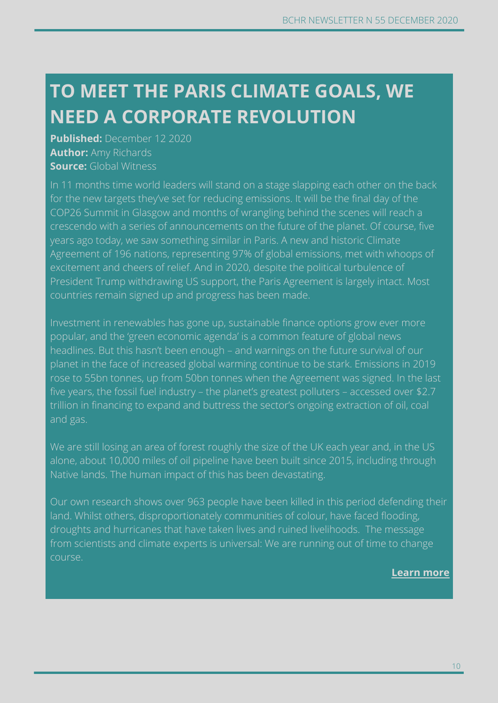# **TO MEET THE PARIS CLIMATE GOALS, WE NEED A CORPORATE REVOLUTION**

**Published:** December 12 2020 **Author:** Amy Richards **Source:** Global Witness

In 11 months time world leaders will stand on a stage slapping each other on the back for the new targets they've set for reducing emissions. It will be the final day of the COP26 Summit in Glasgow and months of wrangling behind the scenes will reach a crescendo with a series of announcements on the future of the planet. Of course, five years ago today, we saw something similar in Paris. A new and historic Climate Agreement of 196 nations, representing 97% of global emissions, met with whoops of excitement and cheers of relief. And in 2020, despite the political turbulence of President Trump withdrawing US support, the Paris Agreement is largely intact. Most countries remain signed up and progress has been made.

Investment in renewables has gone up, sustainable finance options grow ever more popular, and the 'green economic agenda' is a common feature of global news headlines. But this hasn't been enough – and warnings on the future survival of our planet in the face of increased global warming continue to be stark. Emissions in 2019 rose to 55bn tonnes, up from 50bn tonnes when the Agreement was signed. In the last five years, the fossil fuel industry – the planet's greatest polluters – accessed over \$2.7 trillion in financing to expand and buttress the sector's ongoing extraction of oil, coal and gas.

We are still losing an area of forest roughly the size of the UK each year and, in the US alone, about 10,000 miles of oil pipeline have been built since 2015, including through Native lands. The human impact of this has been devastating.

Our own research shows over 963 people have been killed in this period defending their land. Whilst others, disproportionately communities of colour, have faced flooding, droughts and hurricanes that have taken lives and ruined livelihoods. The message from scientists and climate experts is universal: We are running out of time to change course.

#### **[Learn](https://www.globalwitness.org/en/blog/meet-paris-climate-goals-we-need-corporate-revolution/) more**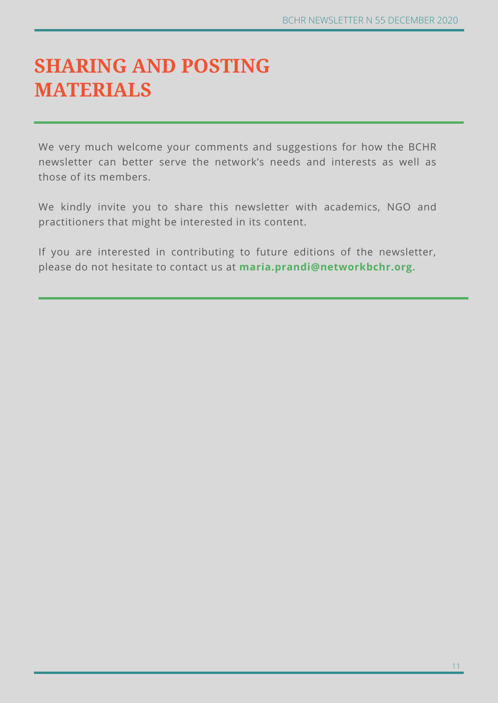# **SHARING AND POSTING MATERIALS**

We very much welcome your comments and suggestions for how the BCHR newsletter can better serve the network's needs and interests as well as those of its members.

We kindly invite you to share this newsletter with academics, NGO and practitioners that might be interested in its content.

If you are interested in contributing to future editions of the newsletter, please do not hesitate to contact us at **maria.prandi@networkbchr.org.**